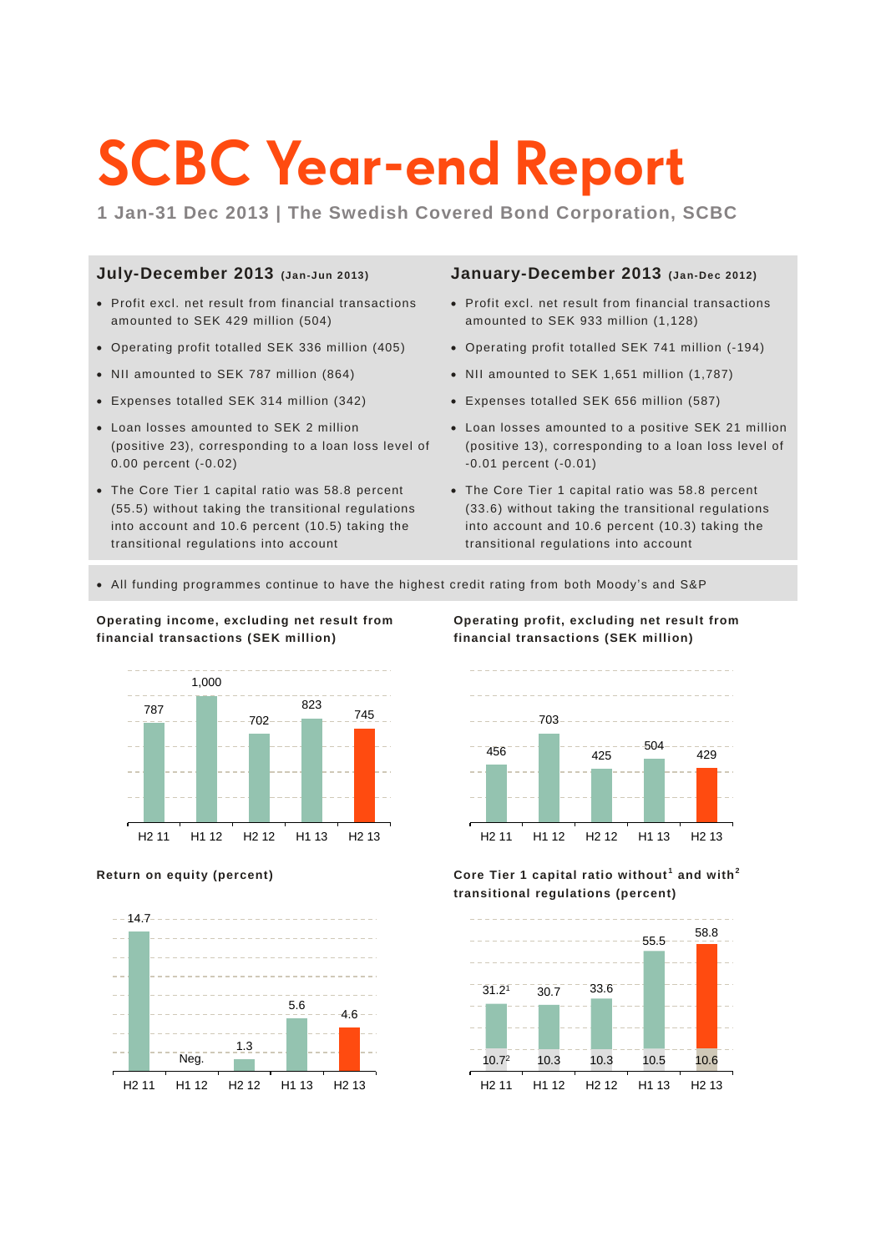# **SCBC Year-end Report**

**1 Jan-31 Dec 2013 | The Swedish Covered Bond Corporation, SCBC**

### **July-December 2013 (Jan-Jun 2013)**

- Profit excl. net result from financial transactions amounted to SEK 429 million (504)
- Operating profit totalled SEK 336 million (405)
- NII amounted to SEK 787 million (864)
- Expenses totalled SEK 314 million (342)
- Loan losses amounted to SEK 2 million (positive 23), corresponding to a loan loss level of 0.00 percent (-0.02)
- The Core Tier 1 capital ratio was 58.8 percent (55.5) without taking the transitional regulations into account and 10.6 percent (10.5) taking the transitional regulations into account

### **January-December 2013 (Jan-Dec 2012)**

- Profit excl. net result from financial transactions amounted to SEK 933 million (1,128)
- Operating profit totalled SEK 741 million (-194)
- NII amounted to SEK 1,651 million (1,787)
- Expenses totalled SEK 656 million (587)
- Loan losses amounted to a positive SEK 21 million (positive 13), corresponding to a loan loss level of -0.01 percent (-0.01)
- The Core Tier 1 capital ratio was 58.8 percent (33.6) without taking the transitional regulations into account and 10.6 percent (10.3) taking the transitional regulations into account
- All funding programmes continue to have the highest credit rating from both Moody's and S&P



**Operating income, excluding net result from financial transactions (SEK million)**



**Operating profit, excluding net result from financial transactions (SEK million)**





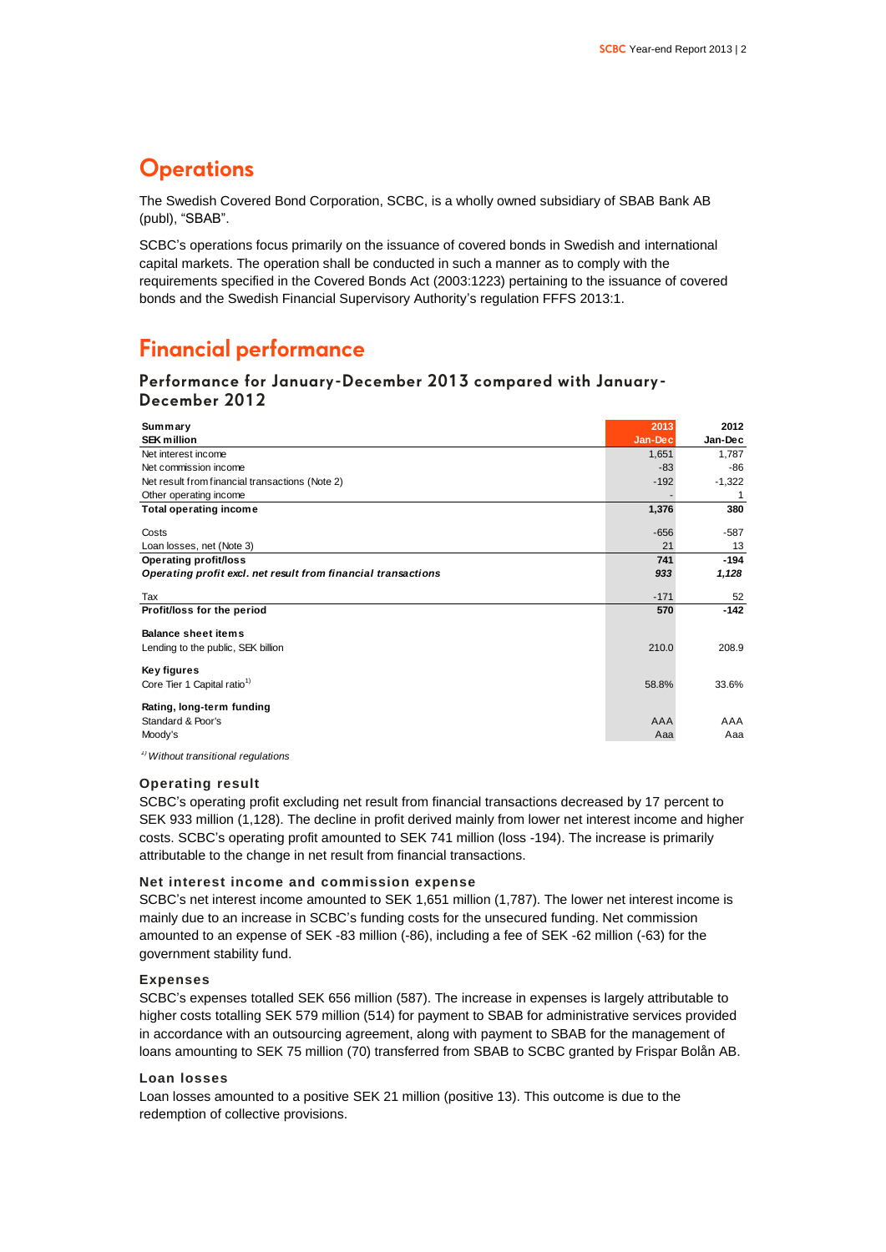### **Operations**

The Swedish Covered Bond Corporation, SCBC, is a wholly owned subsidiary of SBAB Bank AB (publ), "SBAB".

SCBC's operations focus primarily on the issuance of covered bonds in Swedish and international capital markets. The operation shall be conducted in such a manner as to comply with the requirements specified in the Covered Bonds Act (2003:1223) pertaining to the issuance of covered bonds and the Swedish Financial Supervisory Authority's regulation FFFS 2013:1.

### **Financial performance**

**Performance for January-December 2013 compared with January-December 2012**

| Summary                                                          | 2013    | 2012     |
|------------------------------------------------------------------|---------|----------|
| <b>SEK million</b>                                               | Jan-Dec | Jan-Dec  |
| Net interest income                                              | 1,651   | 1,787    |
| Net commission income                                            | $-83$   | -86      |
| Net result from financial transactions (Note 2)                  | $-192$  | $-1,322$ |
| Other operating income                                           |         | 1        |
| <b>Total operating income</b>                                    | 1,376   | 380      |
| Costs                                                            | $-656$  | $-587$   |
| Loan losses, net (Note 3)                                        | 21      | 13       |
| <b>Operating profit/loss</b>                                     | 741     | $-194$   |
| Operating profit excl. net result from financial transactions    | 933     | 1,128    |
| Tax                                                              | $-171$  | 52       |
|                                                                  |         |          |
| Profit/loss for the period                                       | 570     | $-142$   |
| <b>Balance sheet items</b><br>Lending to the public, SEK billion | 210.0   | 208.9    |
| Key figures<br>Core Tier 1 Capital ratio <sup>1)</sup>           | 58.8%   | 33.6%    |

*1)Without transitional regulations*

### **Operating result**

SCBC's operating profit excluding net result from financial transactions decreased by 17 percent to SEK 933 million (1,128). The decline in profit derived mainly from lower net interest income and higher costs. SCBC's operating profit amounted to SEK 741 million (loss -194). The increase is primarily attributable to the change in net result from financial transactions.

### **Net interest income and commission expense**

SCBC's net interest income amounted to SEK 1,651 million (1,787). The lower net interest income is mainly due to an increase in SCBC's funding costs for the unsecured funding. Net commission amounted to an expense of SEK -83 million (-86), including a fee of SEK -62 million (-63) for the government stability fund.

#### **Expenses**

SCBC's expenses totalled SEK 656 million (587). The increase in expenses is largely attributable to higher costs totalling SEK 579 million (514) for payment to SBAB for administrative services provided in accordance with an outsourcing agreement, along with payment to SBAB for the management of loans amounting to SEK 75 million (70) transferred from SBAB to SCBC granted by Frispar Bolån AB.

#### **Loan losses**

Loan losses amounted to a positive SEK 21 million (positive 13). This outcome is due to the redemption of collective provisions.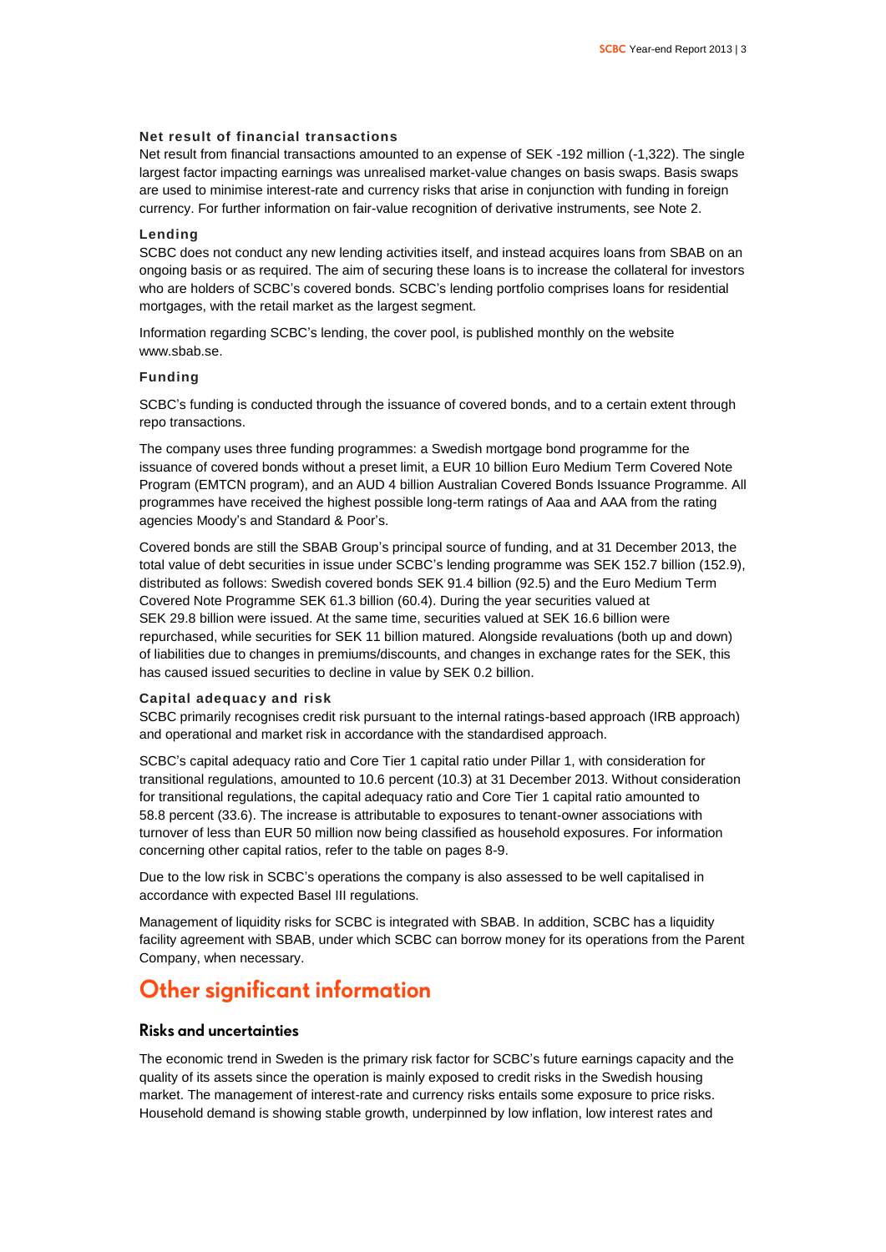### **Net result of financial transactions**

Net result from financial transactions amounted to an expense of SEK -192 million (-1,322). The single largest factor impacting earnings was unrealised market-value changes on basis swaps. Basis swaps are used to minimise interest-rate and currency risks that arise in conjunction with funding in foreign currency. For further information on fair-value recognition of derivative instruments, see Note 2.

#### **Lending**

SCBC does not conduct any new lending activities itself, and instead acquires loans from SBAB on an ongoing basis or as required. The aim of securing these loans is to increase the collateral for investors who are holders of SCBC's covered bonds. SCBC's lending portfolio comprises loans for residential mortgages, with the retail market as the largest segment.

Information regarding SCBC's lending, the cover pool, is published monthly on the website www.sbab.se.

#### **Funding**

SCBC's funding is conducted through the issuance of covered bonds, and to a certain extent through repo transactions.

The company uses three funding programmes: a Swedish mortgage bond programme for the issuance of covered bonds without a preset limit, a EUR 10 billion Euro Medium Term Covered Note Program (EMTCN program), and an AUD 4 billion Australian Covered Bonds Issuance Programme. All programmes have received the highest possible long-term ratings of Aaa and AAA from the rating agencies Moody's and Standard & Poor's.

Covered bonds are still the SBAB Group's principal source of funding, and at 31 December 2013, the total value of debt securities in issue under SCBC's lending programme was SEK 152.7 billion (152.9), distributed as follows: Swedish covered bonds SEK 91.4 billion (92.5) and the Euro Medium Term Covered Note Programme SEK 61.3 billion (60.4). During the year securities valued at SEK 29.8 billion were issued. At the same time, securities valued at SEK 16.6 billion were repurchased, while securities for SEK 11 billion matured. Alongside revaluations (both up and down) of liabilities due to changes in premiums/discounts, and changes in exchange rates for the SEK, this has caused issued securities to decline in value by SEK 0.2 billion.

#### **Capital adequacy and risk**

SCBC primarily recognises credit risk pursuant to the internal ratings-based approach (IRB approach) and operational and market risk in accordance with the standardised approach.

SCBC's capital adequacy ratio and Core Tier 1 capital ratio under Pillar 1, with consideration for transitional regulations, amounted to 10.6 percent (10.3) at 31 December 2013. Without consideration for transitional regulations, the capital adequacy ratio and Core Tier 1 capital ratio amounted to 58.8 percent (33.6). The increase is attributable to exposures to tenant-owner associations with turnover of less than EUR 50 million now being classified as household exposures. For information concerning other capital ratios, refer to the table on pages 8-9.

Due to the low risk in SCBC's operations the company is also assessed to be well capitalised in accordance with expected Basel III regulations.

Management of liquidity risks for SCBC is integrated with SBAB. In addition, SCBC has a liquidity facility agreement with SBAB, under which SCBC can borrow money for its operations from the Parent Company, when necessary.

### **Other significant information**

### **Risks and uncertainties**

The economic trend in Sweden is the primary risk factor for SCBC's future earnings capacity and the quality of its assets since the operation is mainly exposed to credit risks in the Swedish housing market. The management of interest-rate and currency risks entails some exposure to price risks. Household demand is showing stable growth, underpinned by low inflation, low interest rates and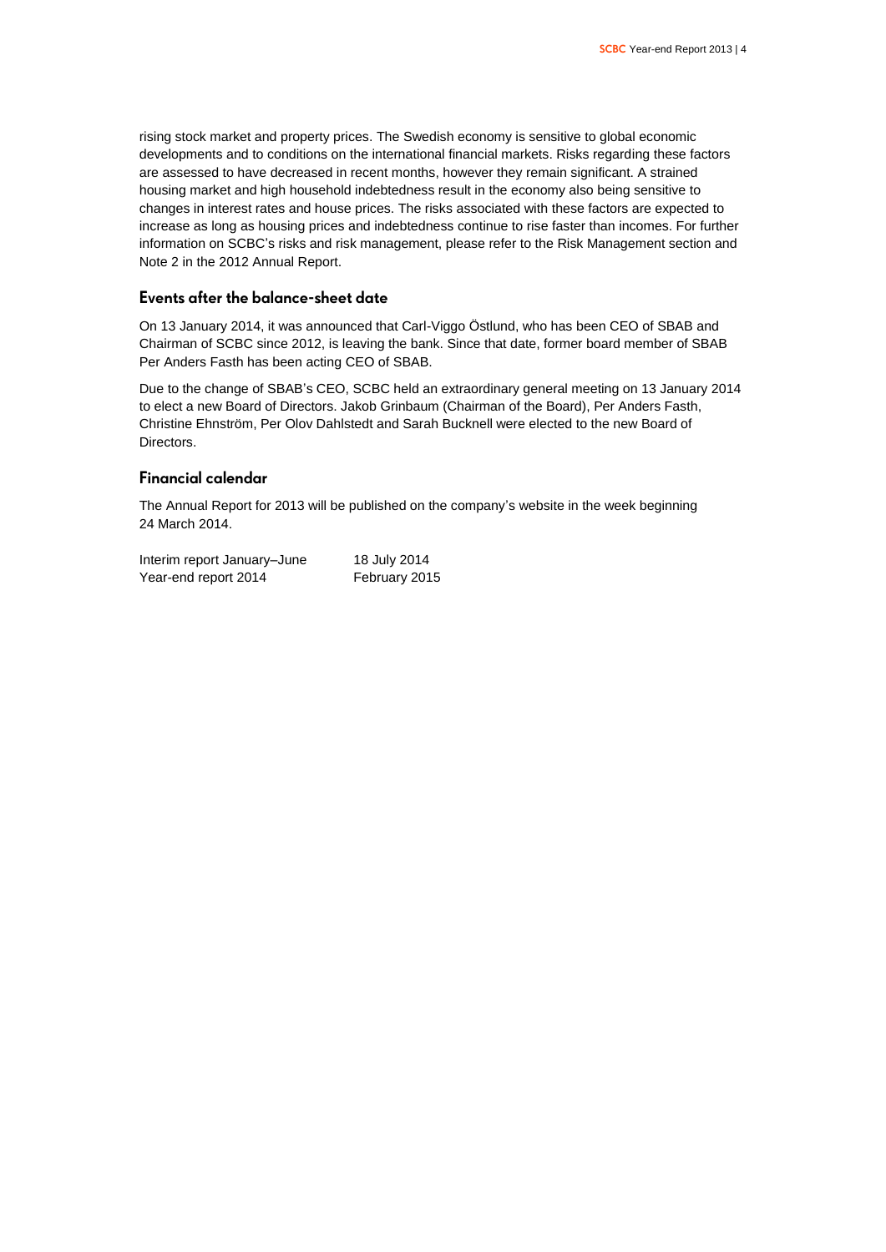rising stock market and property prices. The Swedish economy is sensitive to global economic developments and to conditions on the international financial markets. Risks regarding these factors are assessed to have decreased in recent months, however they remain significant. A strained housing market and high household indebtedness result in the economy also being sensitive to changes in interest rates and house prices. The risks associated with these factors are expected to increase as long as housing prices and indebtedness continue to rise faster than incomes. For further information on SCBC's risks and risk management, please refer to the Risk Management section and Note 2 in the 2012 Annual Report.

### **Events after the balance-sheet date**

On 13 January 2014, it was announced that Carl-Viggo Östlund, who has been CEO of SBAB and Chairman of SCBC since 2012, is leaving the bank. Since that date, former board member of SBAB Per Anders Fasth has been acting CEO of SBAB.

Due to the change of SBAB's CEO, SCBC held an extraordinary general meeting on 13 January 2014 to elect a new Board of Directors. Jakob Grinbaum (Chairman of the Board), Per Anders Fasth, Christine Ehnström, Per Olov Dahlstedt and Sarah Bucknell were elected to the new Board of Directors.

### **Financial calendar**

The Annual Report for 2013 will be published on the company's website in the week beginning 24 March 2014.

| Interim report January-June | 18 July 2014  |
|-----------------------------|---------------|
| Year-end report 2014        | February 2015 |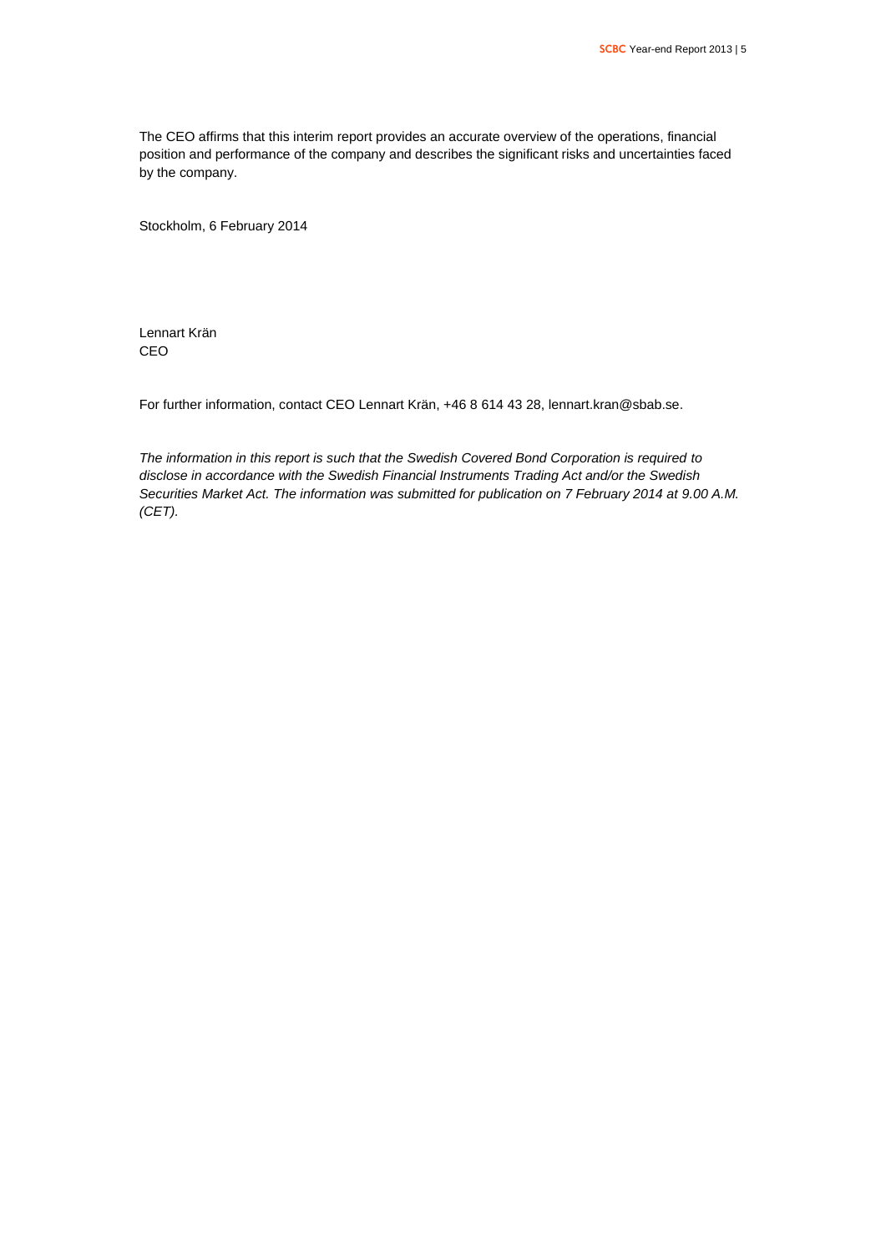The CEO affirms that this interim report provides an accurate overview of the operations, financial position and performance of the company and describes the significant risks and uncertainties faced by the company.

Stockholm, 6 February 2014

Lennart Krän CEO

For further information, contact CEO Lennart Krän, +46 8 614 43 28[, lennart.kran@sbab.se.](mailto:lennart.kran@sbab.se)

*The information in this report is such that the Swedish Covered Bond Corporation is required to disclose in accordance with the Swedish Financial Instruments Trading Act and/or the Swedish Securities Market Act. The information was submitted for publication on 7 February 2014 at 9.00 A.M. (CET).*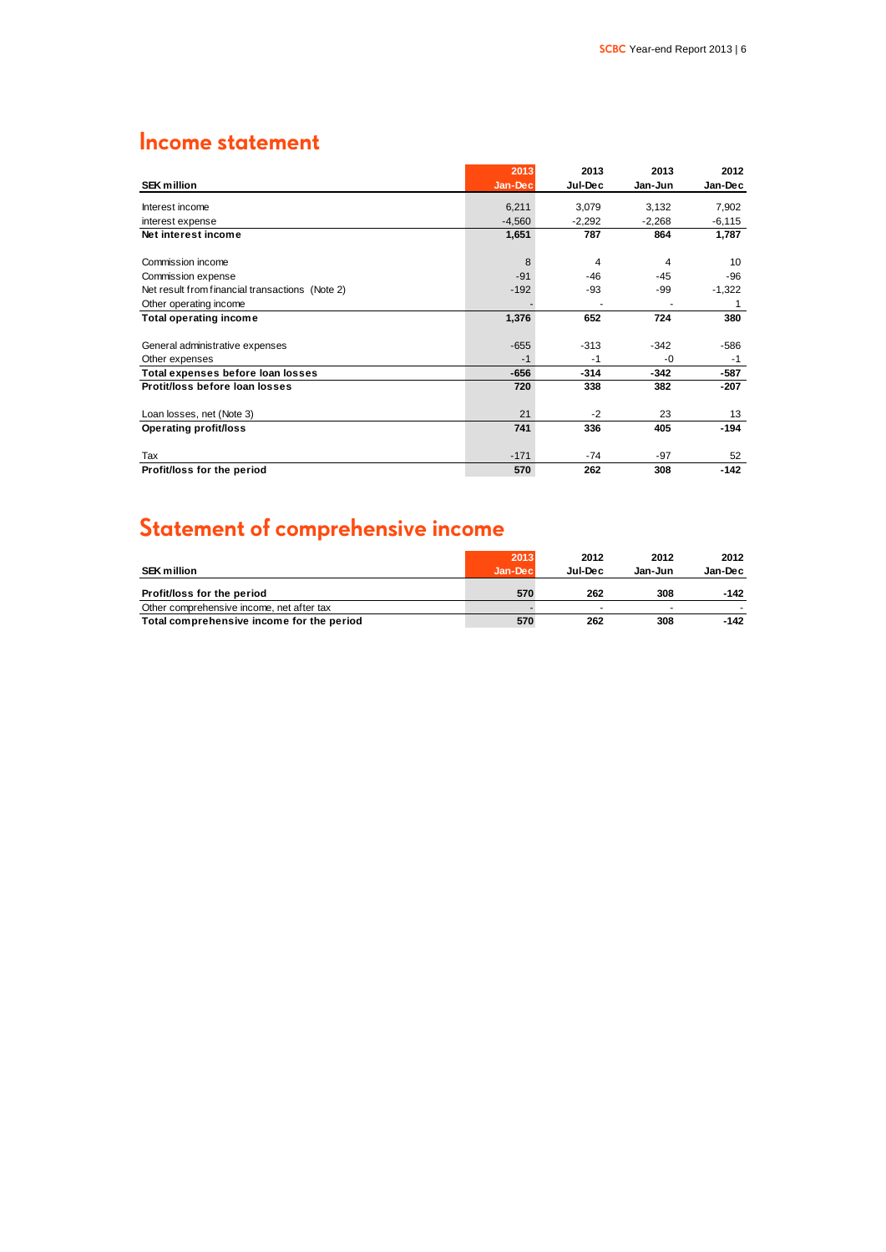### **Income statement**

|                                                 | 2013     | 2013     | 2013     | 2012     |
|-------------------------------------------------|----------|----------|----------|----------|
| <b>SEK million</b>                              | Jan-Dec  | Jul-Dec  | Jan-Jun  | Jan-Dec  |
| Interest income                                 | 6,211    | 3,079    | 3,132    | 7,902    |
| interest expense                                | $-4,560$ | $-2,292$ | $-2,268$ | $-6,115$ |
| Net interest income                             | 1,651    | 787      | 864      | 1,787    |
| Commission income                               | 8        | 4        | 4        | 10       |
| Commission expense                              | $-91$    | $-46$    | $-45$    | $-96$    |
| Net result from financial transactions (Note 2) | $-192$   | -93      | -99      | $-1,322$ |
| Other operating income                          |          |          |          | 1        |
| <b>Total operating income</b>                   | 1,376    | 652      | 724      | 380      |
| General administrative expenses                 | $-655$   | $-313$   | $-342$   | $-586$   |
| Other expenses                                  | $-1$     | $-1$     | -0       | $-1$     |
| Total expenses before loan losses               | $-656$   | $-314$   | $-342$   | $-587$   |
| Protit/loss before loan losses                  | 720      | 338      | 382      | $-207$   |
| Loan losses, net (Note 3)                       | 21       | $-2$     | 23       | 13       |
| <b>Operating profit/loss</b>                    | 741      | 336      | 405      | $-194$   |
| Tax                                             | $-171$   | $-74$    | $-97$    | 52       |
| Profit/loss for the period                      | 570      | 262      | 308      | $-142$   |

## **Statement of comprehensive income**

|                                           | 2013     | 2012    | 2012    | 2012    |
|-------------------------------------------|----------|---------|---------|---------|
| <b>SEK million</b>                        | Jan-Decl | Jul-Dec | Jan-Jun | Jan-Dec |
| Profit/loss for the period                | 570      | 262     | 308     | -142    |
| Other comprehensive income, net after tax |          |         |         |         |
| Total comprehensive income for the period | 570      | 262     | 308     | -142    |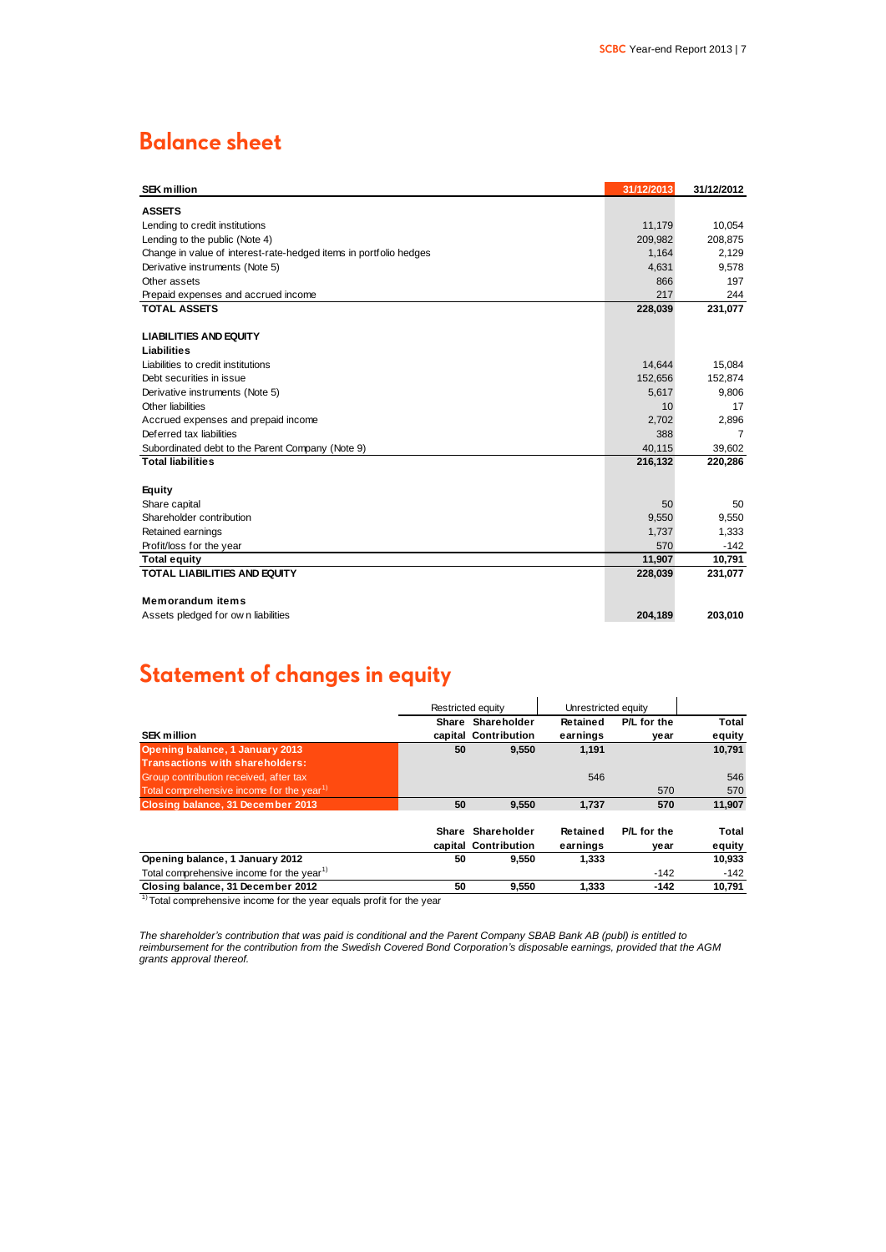### **Balance sheet**

| <b>SEK million</b>                                                | 31/12/2013 | 31/12/2012     |
|-------------------------------------------------------------------|------------|----------------|
| <b>ASSETS</b>                                                     |            |                |
| Lending to credit institutions                                    | 11,179     | 10,054         |
| Lending to the public (Note 4)                                    | 209,982    | 208,875        |
| Change in value of interest-rate-hedged items in portfolio hedges | 1,164      | 2,129          |
| Derivative instruments (Note 5)                                   | 4,631      | 9,578          |
| Other assets                                                      | 866        | 197            |
| Prepaid expenses and accrued income                               | 217        | 244            |
| <b>TOTAL ASSETS</b>                                               | 228,039    | 231,077        |
|                                                                   |            |                |
| <b>LIABILITIES AND EQUITY</b>                                     |            |                |
| Liabilities                                                       |            |                |
| Liabilities to credit institutions                                | 14.644     | 15,084         |
| Debt securities in issue                                          | 152,656    | 152,874        |
| Derivative instruments (Note 5)                                   | 5,617      | 9,806          |
| Other liabilities                                                 | 10         | 17             |
| Accrued expenses and prepaid income                               | 2,702      | 2,896          |
| Deferred tax liabilities                                          | 388        | $\overline{7}$ |
| Subordinated debt to the Parent Company (Note 9)                  | 40,115     | 39,602         |
| <b>Total liabilities</b>                                          | 216,132    | 220,286        |
|                                                                   |            |                |
| <b>Equity</b>                                                     |            |                |
| Share capital                                                     | 50         | 50             |
| Shareholder contribution                                          | 9,550      | 9,550          |
| Retained earnings                                                 | 1,737      | 1,333          |
| Profit/loss for the year                                          | 570        | $-142$         |
| <b>Total equity</b>                                               | 11,907     | 10,791         |
| <b>TOTAL LIABILITIES AND EQUITY</b>                               | 228,039    | 231,077        |
|                                                                   |            |                |
| <b>Memorandum items</b>                                           |            |                |
| Assets pledged for own liabilities                                | 204,189    | 203,010        |
|                                                                   |            |                |

### **Statement of changes in equity**

|                                                       |    | Restricted equity    | Unrestricted equity |             |        |
|-------------------------------------------------------|----|----------------------|---------------------|-------------|--------|
|                                                       |    | Share Shareholder    | Retained            | P/L for the | Total  |
| <b>SEK million</b>                                    |    | capital Contribution | earnings            | year        | equity |
| Opening balance, 1 January 2013                       | 50 | 9.550                | 1.191               |             | 10,791 |
| Transactions with shareholders:                       |    |                      |                     |             |        |
| Group contribution received, after tax                |    |                      | 546                 |             | 546    |
| Total comprehensive income for the year <sup>1)</sup> |    |                      |                     | 570         | 570    |
| Closing balance, 31 December 2013                     | 50 | 9.550                | 1.737               | 570         | 11,907 |
|                                                       |    | Share Shareholder    | Retained            | P/L for the | Total  |
|                                                       |    | capital Contribution | earnings            | year        | equity |
| Opening balance, 1 January 2012                       | 50 | 9.550                | 1.333               |             | 10,933 |
| Total comprehensive income for the year <sup>1)</sup> |    |                      |                     | $-142$      | -142   |
| Closing balance, 31 December 2012                     | 50 | 9,550                | 1.333               | $-142$      | 10,791 |

<sup>1)</sup> Total comprehensive income for the year equals profit for the year

*The shareholder's contribution that was paid is conditional and the Parent Company SBAB Bank AB (publ) is entitled to reimbursement for the contribution from the Swedish Covered Bond Corporation's disposable earnings, provided that the AGM grants approval thereof.*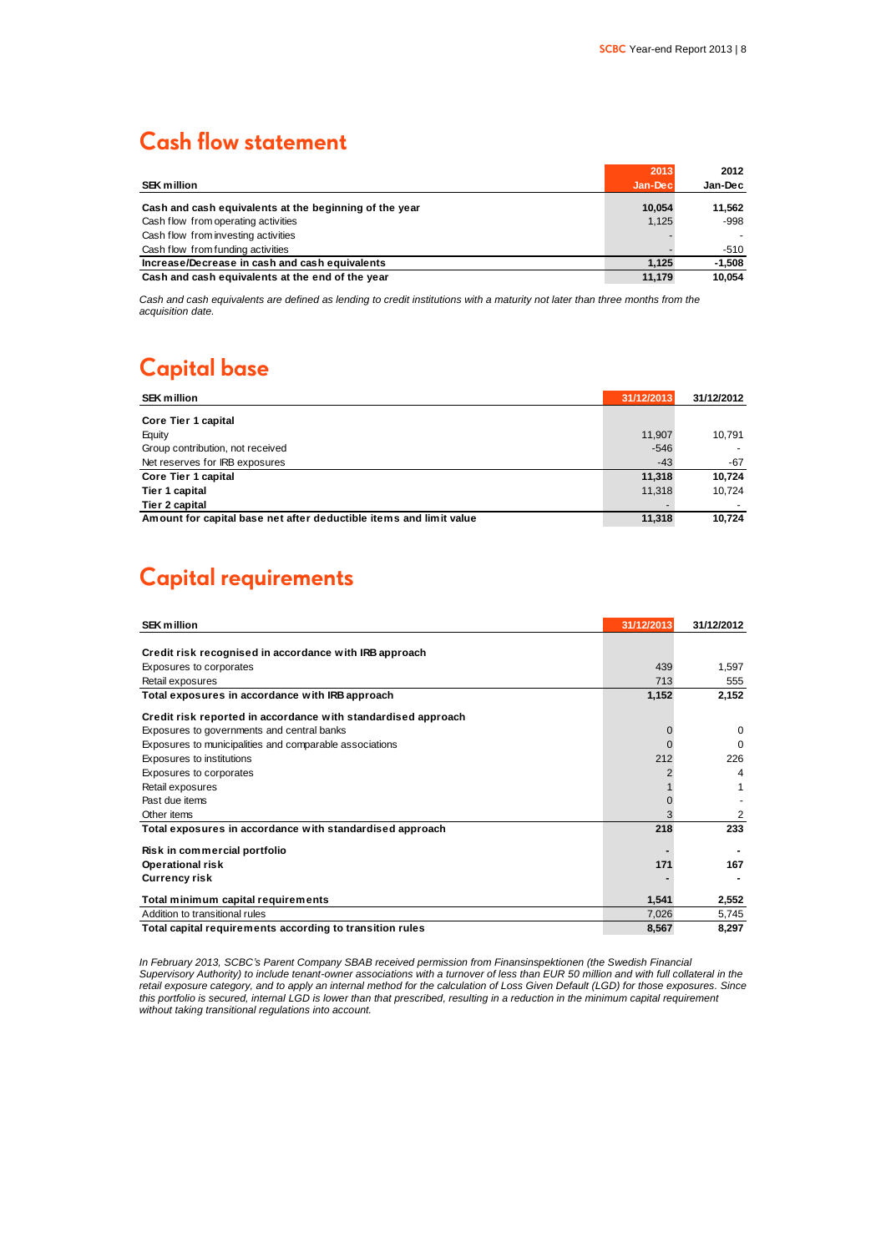### **Cash flow statement**

|                                                        | 2013    | 2012     |
|--------------------------------------------------------|---------|----------|
| <b>SEK million</b>                                     | Jan-Dec | Jan-Dec  |
| Cash and cash equivalents at the beginning of the year | 10.054  | 11.562   |
| Cash flow from operating activities                    | 1,125   | -998     |
| Cash flow from investing activities                    |         |          |
| Cash flow from funding activities                      |         | -510     |
| Increase/Decrease in cash and cash equivalents         | 1.125   | $-1,508$ |
| Cash and cash equivalents at the end of the year       | 11.179  | 10.054   |

*Cash and cash equivalents are defined as lending to credit institutions with a maturity not later than three months from the acquisition date.*

### **Capital base**

| <b>SEK million</b>                                                 | 31/12/2013 | 31/12/2012 |
|--------------------------------------------------------------------|------------|------------|
| Core Tier 1 capital                                                |            |            |
| Equity                                                             | 11.907     | 10.791     |
| Group contribution, not received                                   | $-546$     |            |
| Net reserves for IRB exposures                                     | $-43$      | $-67$      |
| Core Tier 1 capital                                                | 11,318     | 10.724     |
| Tier 1 capital                                                     | 11.318     | 10.724     |
| Tier 2 capital                                                     |            |            |
| Amount for capital base net after deductible items and limit value | 11,318     | 10.724     |

### **Capital requirements**

| <b>SEK million</b>                                            | 31/12/2013 | 31/12/2012 |
|---------------------------------------------------------------|------------|------------|
|                                                               |            |            |
| Credit risk recognised in accordance with IRB approach        |            |            |
| Exposures to corporates                                       | 439        | 1.597      |
| Retail exposures                                              | 713        | 555        |
| Total exposures in accordance with IRB approach               | 1,152      | 2,152      |
| Credit risk reported in accordance with standardised approach |            |            |
| Exposures to governments and central banks                    |            | $\Omega$   |
| Exposures to municipalities and comparable associations       |            | $\Omega$   |
| Exposures to institutions                                     | 212        | 226        |
| Exposures to corporates                                       |            | 4          |
| Retail exposures                                              |            |            |
| Past due items                                                |            |            |
| Other items                                                   |            | 2          |
| Total exposures in accordance with standardised approach      | 218        | 233        |
| Risk in commercial portfolio                                  |            |            |
| <b>Operational risk</b>                                       | 171        | 167        |
| <b>Currency risk</b>                                          |            |            |
| Total minimum capital requirements                            | 1.541      | 2,552      |
| Addition to transitional rules                                | 7,026      | 5,745      |
| Total capital requirements according to transition rules      | 8,567      | 8,297      |

*In February 2013, SCBC's Parent Company SBAB received permission from Finansinspektionen (the Swedish Financial Supervisory Authority) to include tenant-owner associations with a turnover of less than EUR 50 million and with full collateral in the retail exposure category, and to apply an internal method for the calculation of Loss Given Default (LGD) for those exposures. Since this portfolio is secured, internal LGD is lower than that prescribed, resulting in a reduction in the minimum capital requirement without taking transitional regulations into account.*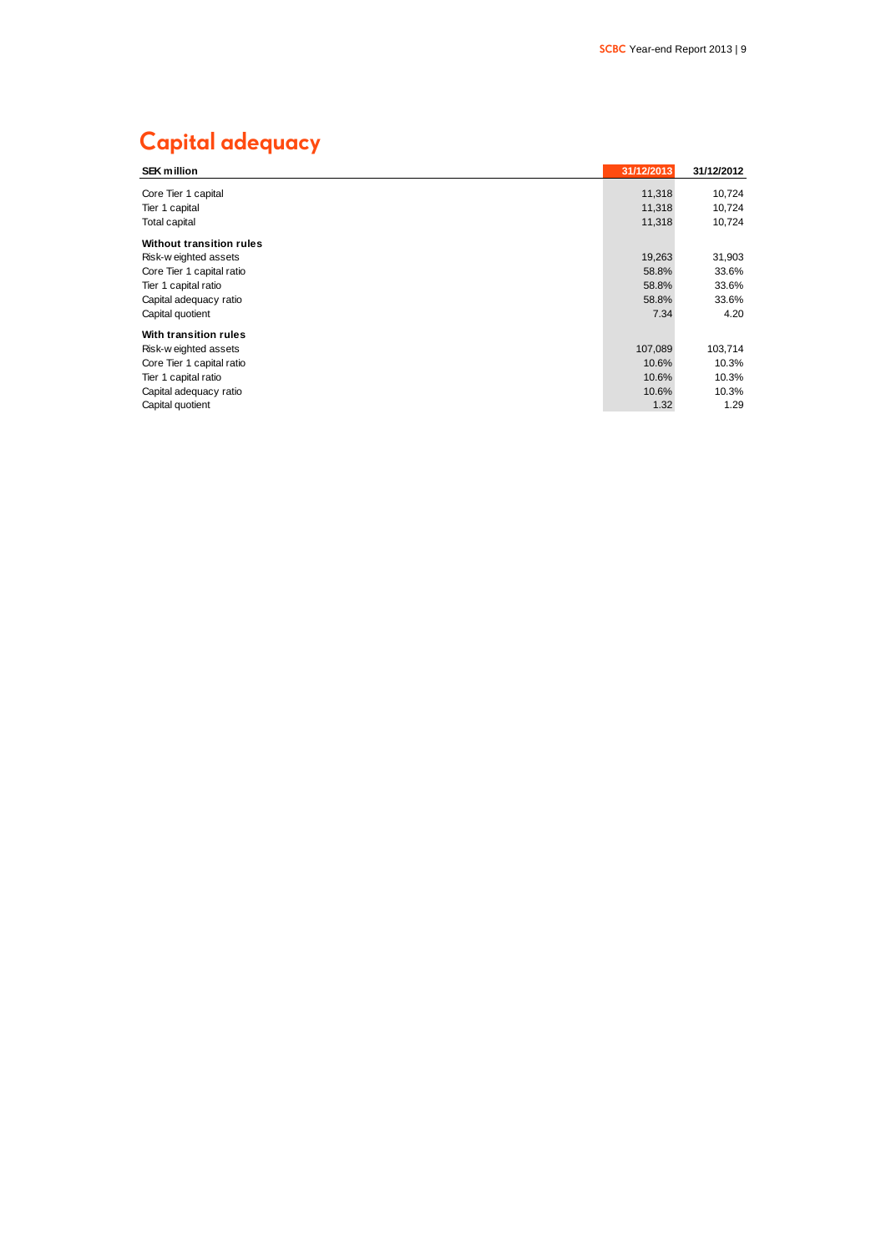### **Capital adequacy**

| <b>SEK million</b>        | 31/12/2013 | 31/12/2012 |
|---------------------------|------------|------------|
| Core Tier 1 capital       | 11,318     | 10,724     |
| Tier 1 capital            | 11,318     | 10,724     |
| Total capital             | 11,318     | 10,724     |
| Without transition rules  |            |            |
| Risk-w eighted assets     | 19,263     | 31,903     |
| Core Tier 1 capital ratio | 58.8%      | 33.6%      |
| Tier 1 capital ratio      | 58.8%      | 33.6%      |
| Capital adequacy ratio    | 58.8%      | 33.6%      |
| Capital quotient          | 7.34       | 4.20       |
| With transition rules     |            |            |
| Risk-w eighted assets     | 107,089    | 103,714    |
| Core Tier 1 capital ratio | 10.6%      | 10.3%      |
| Tier 1 capital ratio      | 10.6%      | 10.3%      |
| Capital adequacy ratio    | 10.6%      | 10.3%      |
| Capital quotient          | 1.32       | 1.29       |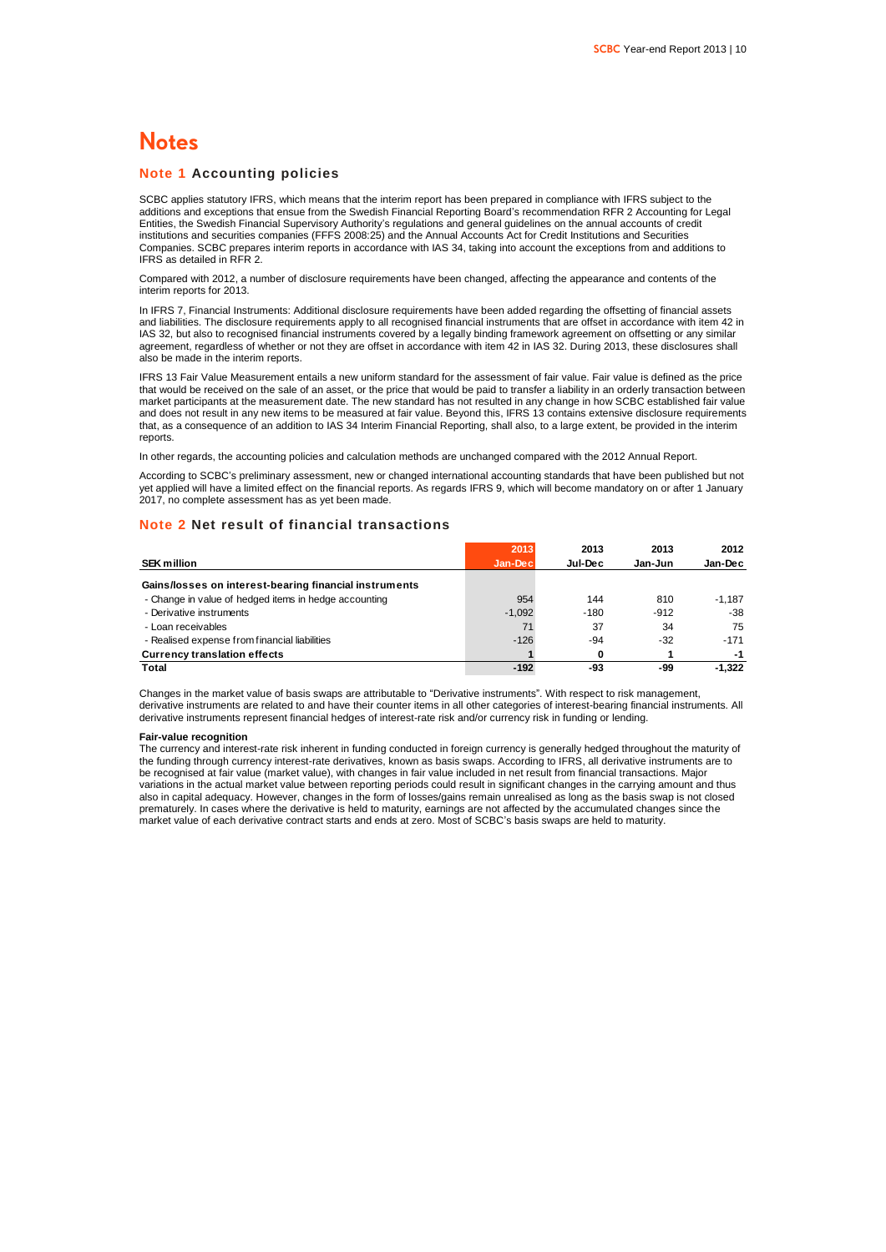### **Notes**

### **Note 1 Accounting policies**

SCBC applies statutory IFRS, which means that the interim report has been prepared in compliance with IFRS subject to the additions and exceptions that ensue from the Swedish Financial Reporting Board's recommendation RFR 2 Accounting for Legal Entities, the Swedish Financial Supervisory Authority's regulations and general guidelines on the annual accounts of credit institutions and securities companies (FFFS 2008:25) and the Annual Accounts Act for Credit Institutions and Securities Companies. SCBC prepares interim reports in accordance with IAS 34, taking into account the exceptions from and additions to IFRS as detailed in RFR 2.

Compared with 2012, a number of disclosure requirements have been changed, affecting the appearance and contents of the interim reports for 2013.

In IFRS 7, Financial Instruments: Additional disclosure requirements have been added regarding the offsetting of financial assets and liabilities. The disclosure requirements apply to all recognised financial instruments that are offset in accordance with item 42 in IAS 32, but also to recognised financial instruments covered by a legally binding framework agreement on offsetting or any similar agreement, regardless of whether or not they are offset in accordance with item 42 in IAS 32. During 2013, these disclosures shall also be made in the interim reports.

IFRS 13 Fair Value Measurement entails a new uniform standard for the assessment of fair value. Fair value is defined as the price that would be received on the sale of an asset, or the price that would be paid to transfer a liability in an orderly transaction between market participants at the measurement date. The new standard has not resulted in any change in how SCBC established fair value and does not result in any new items to be measured at fair value. Beyond this, IFRS 13 contains extensive disclosure requirements that, as a consequence of an addition to IAS 34 Interim Financial Reporting, shall also, to a large extent, be provided in the interim reports.

In other regards, the accounting policies and calculation methods are unchanged compared with the 2012 Annual Report.

According to SCBC's preliminary assessment, new or changed international accounting standards that have been published but not yet applied will have a limited effect on the financial reports. As regards IFRS 9, which will become mandatory on or after 1 January 2017, no complete assessment has as yet been made.

#### **Note 2 Net result of financial transactions**

|                                                        | 2013     | 2013    | 2013    | 2012     |
|--------------------------------------------------------|----------|---------|---------|----------|
| <b>SEK million</b>                                     | Jan-Dec  | Jul-Dec | Jan-Jun | Jan-Dec  |
| Gains/losses on interest-bearing financial instruments |          |         |         |          |
| - Change in value of hedged items in hedge accounting  | 954      | 144     | 810     | $-1.187$ |
| - Derivative instruments                               | $-1.092$ | $-180$  | $-912$  | $-38$    |
| - Loan receivables                                     | 71       | 37      | 34      | 75       |
| - Realised expense from financial liabilities          | $-126$   | $-94$   | $-32$   | $-171$   |
| <b>Currency translation effects</b>                    |          | O       |         | -1       |
| <b>Total</b>                                           | $-192$   | -93     | -99     | $-1.322$ |

Changes in the market value of basis swaps are attributable to "Derivative instruments". With respect to risk management, derivative instruments are related to and have their counter items in all other categories of interest-bearing financial instruments. All derivative instruments represent financial hedges of interest-rate risk and/or currency risk in funding or lending.

#### **Fair-value recognition**

The currency and interest-rate risk inherent in funding conducted in foreign currency is generally hedged throughout the maturity of the funding through currency interest-rate derivatives, known as basis swaps. According to IFRS, all derivative instruments are to be recognised at fair value (market value), with changes in fair value included in net result from financial transactions. Major variations in the actual market value between reporting periods could result in significant changes in the carrying amount and thus also in capital adequacy. However, changes in the form of losses/gains remain unrealised as long as the basis swap is not closed prematurely. In cases where the derivative is held to maturity, earnings are not affected by the accumulated changes since the market value of each derivative contract starts and ends at zero. Most of SCBC's basis swaps are held to maturity.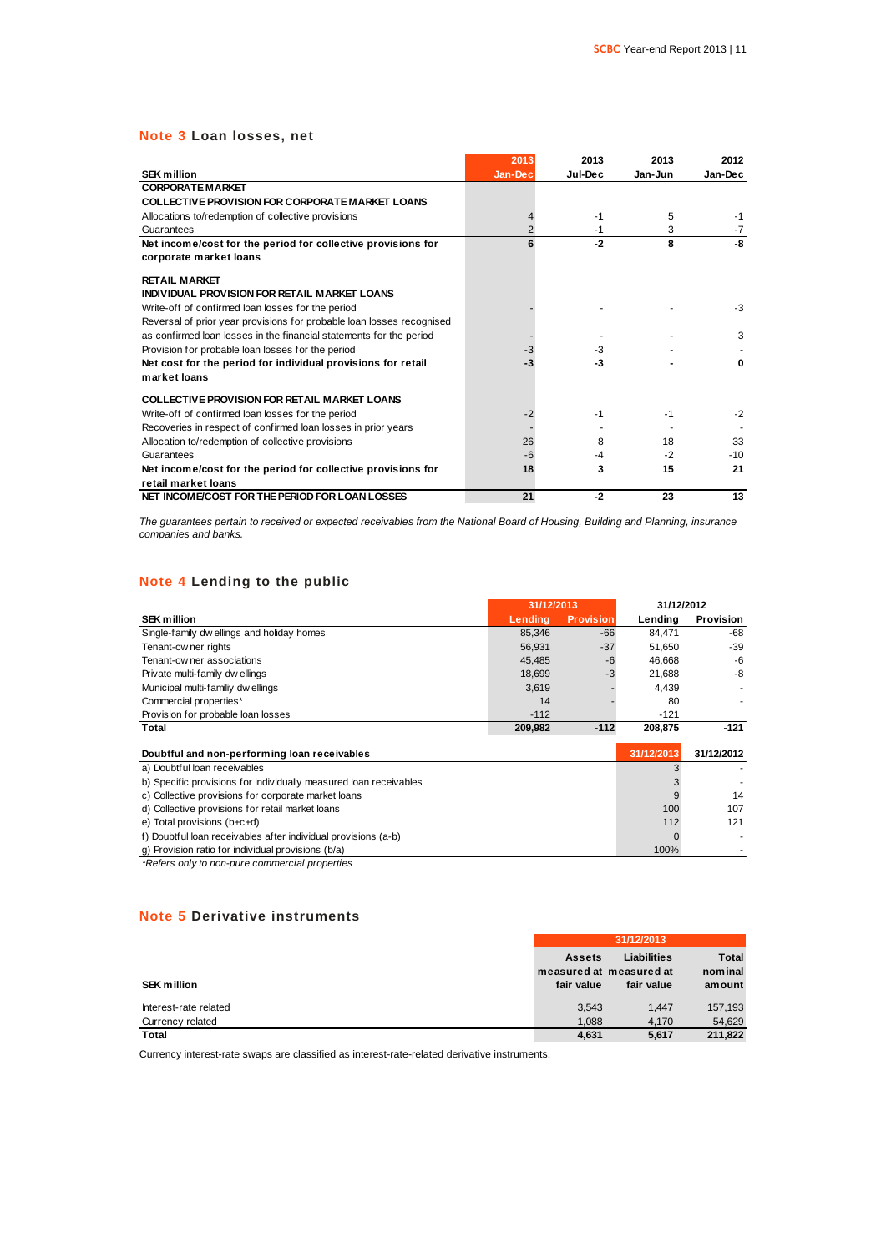### **Note 3 Loan losses, net**

|                                                                       | 2013           | 2013    | 2013    | 2012     |
|-----------------------------------------------------------------------|----------------|---------|---------|----------|
| <b>SEK million</b>                                                    | Jan-Dec        | Jul-Dec | Jan-Jun | Jan-Dec  |
| <b>CORPORATE MARKET</b>                                               |                |         |         |          |
| <b>COLLECTIVE PROVISION FOR CORPORATE MARKET LOANS</b>                |                |         |         |          |
| Allocations to/redemption of collective provisions                    | 4              | $-1$    | 5       | -1       |
| Guarantees                                                            | $\overline{2}$ | $-1$    | 3       | $-7$     |
| Net income/cost for the period for collective provisions for          | 6              | $-2$    | 8       | -8       |
| corporate market loans                                                |                |         |         |          |
| <b>RETAIL MARKET</b>                                                  |                |         |         |          |
| INDIVIDUAL PROVISION FOR RETAIL MARKET LOANS                          |                |         |         |          |
| Write-off of confirmed loan losses for the period                     |                |         |         | $-3$     |
| Reversal of prior year provisions for probable loan losses recognised |                |         |         |          |
| as confirmed loan losses in the financial statements for the period   |                |         |         | 3        |
| Provision for probable loan losses for the period                     | $-3$           | $-3$    |         |          |
| Net cost for the period for individual provisions for retail          | $-3$           | $-3$    |         | $\Omega$ |
| market loans                                                          |                |         |         |          |
| <b>COLLECTIVE PROVISION FOR RETAIL MARKET LOANS</b>                   |                |         |         |          |
| Write-off of confirmed loan losses for the period                     | $-2$           | $-1$    | $-1$    | $-2$     |
| Recoveries in respect of confirmed loan losses in prior years         |                |         |         |          |
| Allocation to/redemption of collective provisions                     | 26             | 8       | 18      | 33       |
| Guarantees                                                            | $-6$           | $-4$    | $-2$    | $-10$    |
| Net income/cost for the period for collective provisions for          | 18             | 3       | 15      | 21       |
| retail market loans                                                   |                |         |         |          |
| NET INCOME/COST FOR THE PERIOD FOR LOAN LOSSES                        | 21             | $-2$    | 23      | 13       |
|                                                                       |                |         |         |          |

*The guarantees pertain to received or expected receivables from the National Board of Housing, Building and Planning, insurance companies and banks.*

### **Note 4 Lending to the public**

| Note 4 Lending to the public                                      |            |                  |            |            |
|-------------------------------------------------------------------|------------|------------------|------------|------------|
|                                                                   | 31/12/2013 |                  | 31/12/2012 |            |
| <b>SEK million</b>                                                | Lending    | <b>Provision</b> | Lending    | Provision  |
| Single-family dw ellings and holiday homes                        | 85,346     | -66              | 84,471     | -68        |
| Tenant-ow ner rights                                              | 56,931     | $-37$            | 51.650     | $-39$      |
| Tenant-ow ner associations                                        | 45,485     | $-6$             | 46,668     | $-6$       |
| Private multi-family dw ellings                                   | 18,699     | $-3$             | 21,688     | -8         |
| Municipal multi-familiy dw ellings                                | 3,619      |                  | 4,439      |            |
| Commercial properties*                                            | 14         |                  | 80         |            |
| Provision for probable loan losses                                | $-112$     |                  | $-121$     |            |
| Total                                                             | 209,982    | $-112$           | 208,875    | $-121$     |
| Doubtful and non-performing loan receivables                      |            |                  | 31/12/2013 | 31/12/2012 |
| a) Doubtful loan receivables                                      |            |                  |            |            |
| b) Specific provisions for individually measured loan receivables |            |                  | 3          |            |
| c) Collective provisions for corporate market loans               |            |                  | 9          | 14         |
| d) Collective provisions for retail market loans                  |            |                  | 100        | 107        |
| e) Total provisions (b+c+d)                                       |            |                  | 112        | 121        |
| f) Doubtful loan receivables after individual provisions (a-b)    |            |                  | $\Omega$   |            |
| g) Provision ratio for individual provisions (b/a)                |            |                  | 100%       |            |
| *Refers only to non-pure commercial properties                    |            |                  |            |            |

### **Note 5 Derivative instruments**

|                       |               | 31/12/2013              |              |  |  |
|-----------------------|---------------|-------------------------|--------------|--|--|
|                       | <b>Assets</b> | <b>Liabilities</b>      | <b>Total</b> |  |  |
|                       |               | measured at measured at | nominal      |  |  |
| <b>SEK million</b>    | fair value    | fair value              | amount       |  |  |
| Interest-rate related | 3.543         | 1.447                   | 157,193      |  |  |
| Currency related      | 1.088         | 4.170                   | 54.629       |  |  |
| <b>Total</b>          | 4,631         | 5.617                   | 211.822      |  |  |

Currency interest-rate swaps are classified as interest-rate-related derivative instruments.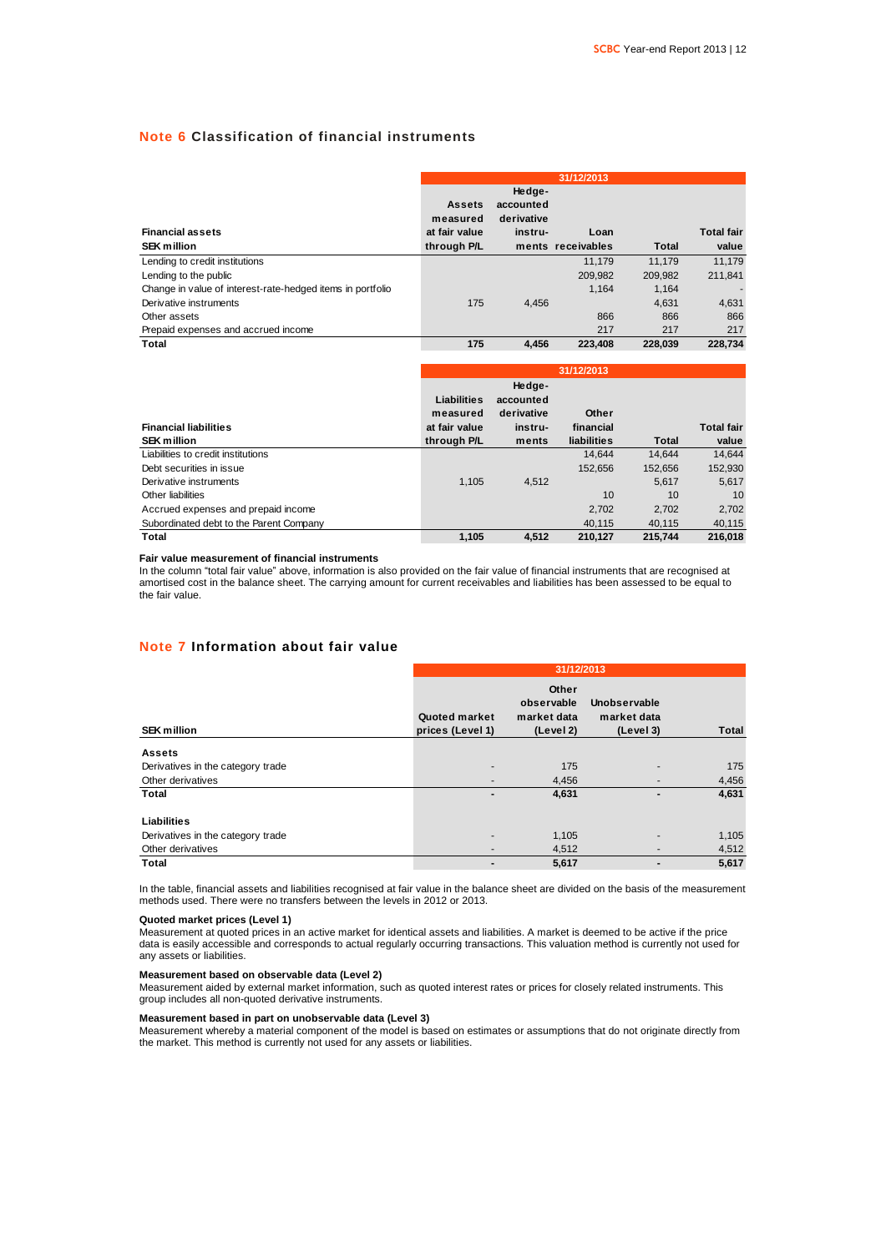### **Note 6 Classification of financial instruments**

|                                                            |                           |                                   | 31/12/2013        |         |                   |
|------------------------------------------------------------|---------------------------|-----------------------------------|-------------------|---------|-------------------|
|                                                            | <b>Assets</b><br>measured | Hedge-<br>accounted<br>derivative |                   |         |                   |
| <b>Financial assets</b>                                    | at fair value             | instru-                           | Loan              |         | <b>Total fair</b> |
| <b>SEK million</b>                                         | through P/L               |                                   | ments receivables | Total   | value             |
| Lending to credit institutions                             |                           |                                   | 11.179            | 11.179  | 11.179            |
| Lending to the public                                      |                           |                                   | 209.982           | 209.982 | 211.841           |
| Change in value of interest-rate-hedged items in portfolio |                           |                                   | 1.164             | 1.164   |                   |
| Derivative instruments                                     | 175                       | 4.456                             |                   | 4.631   | 4,631             |
| Other assets                                               |                           |                                   | 866               | 866     | 866               |
| Prepaid expenses and accrued income                        |                           |                                   | 217               | 217     | 217               |
| Total                                                      | 175                       | 4.456                             | 223.408           | 228.039 | 228.734           |

|                                         |                         |                                   | 31/12/2013  |         |                   |
|-----------------------------------------|-------------------------|-----------------------------------|-------------|---------|-------------------|
|                                         | Liabilities<br>measured | Hedge-<br>accounted<br>derivative | Other       |         |                   |
| <b>Financial liabilities</b>            | at fair value           | instru-                           | financial   |         | <b>Total fair</b> |
| <b>SEK million</b>                      | through P/L             | ments                             | liabilities | Total   | value             |
| Liabilities to credit institutions      |                         |                                   | 14.644      | 14.644  | 14.644            |
| Debt securities in issue                |                         |                                   | 152.656     | 152,656 | 152,930           |
| Derivative instruments                  | 1.105                   | 4.512                             |             | 5.617   | 5.617             |
| Other liabilities                       |                         |                                   | 10          | 10      | 10                |
| Accrued expenses and prepaid income     |                         |                                   | 2,702       | 2.702   | 2,702             |
| Subordinated debt to the Parent Company |                         |                                   | 40.115      | 40.115  | 40,115            |
| Total                                   | 1.105                   | 4.512                             | 210.127     | 215.744 | 216.018           |

#### **Fair value measurement of financial instruments**

In the column "total fair value" above, information is also provided on the fair value of financial instruments that are recognised at amortised cost in the balance sheet. The carrying amount for current receivables and liabilities has been assessed to be equal to the fair value.

### **Note 7 Information about fair value**

|                                   | 31/12/2013                        |                                                 |                                          |              |
|-----------------------------------|-----------------------------------|-------------------------------------------------|------------------------------------------|--------------|
| <b>SEK million</b>                | Quoted market<br>prices (Level 1) | Other<br>observable<br>market data<br>(Level 2) | Unobservable<br>market data<br>(Level 3) | <b>Total</b> |
| <b>Assets</b>                     |                                   |                                                 |                                          |              |
| Derivatives in the category trade | $\overline{\phantom{a}}$          | 175                                             |                                          | 175          |
| Other derivatives                 | $\overline{\phantom{a}}$          | 4,456                                           | $\overline{\phantom{a}}$                 | 4,456        |
| Total                             | $\blacksquare$                    | 4,631                                           | -                                        | 4,631        |
| Liabilities                       |                                   |                                                 |                                          |              |
| Derivatives in the category trade | -                                 | 1,105                                           |                                          | 1,105        |
| Other derivatives                 | -                                 | 4,512                                           | -                                        | 4,512        |
| Total                             | $\blacksquare$                    | 5,617                                           | -                                        | 5,617        |

In the table, financial assets and liabilities recognised at fair value in the balance sheet are divided on the basis of the measurement methods used. There were no transfers between the levels in 2012 or 2013.

#### **Quoted market prices (Level 1)**

Measurement at quoted prices in an active market for identical assets and liabilities. A market is deemed to be active if the price data is easily accessible and corresponds to actual regularly occurring transactions. This valuation method is currently not used for any assets or liabilities.

#### **Measurement based on observable data (Level 2)**

Measurement aided by external market information, such as quoted interest rates or prices for closely related instruments. This group includes all non-quoted derivative instruments.

#### **Measurement based in part on unobservable data (Level 3)**

Measurement whereby a material component of the model is based on estimates or assumptions that do not originate directly from the market. This method is currently not used for any assets or liabilities.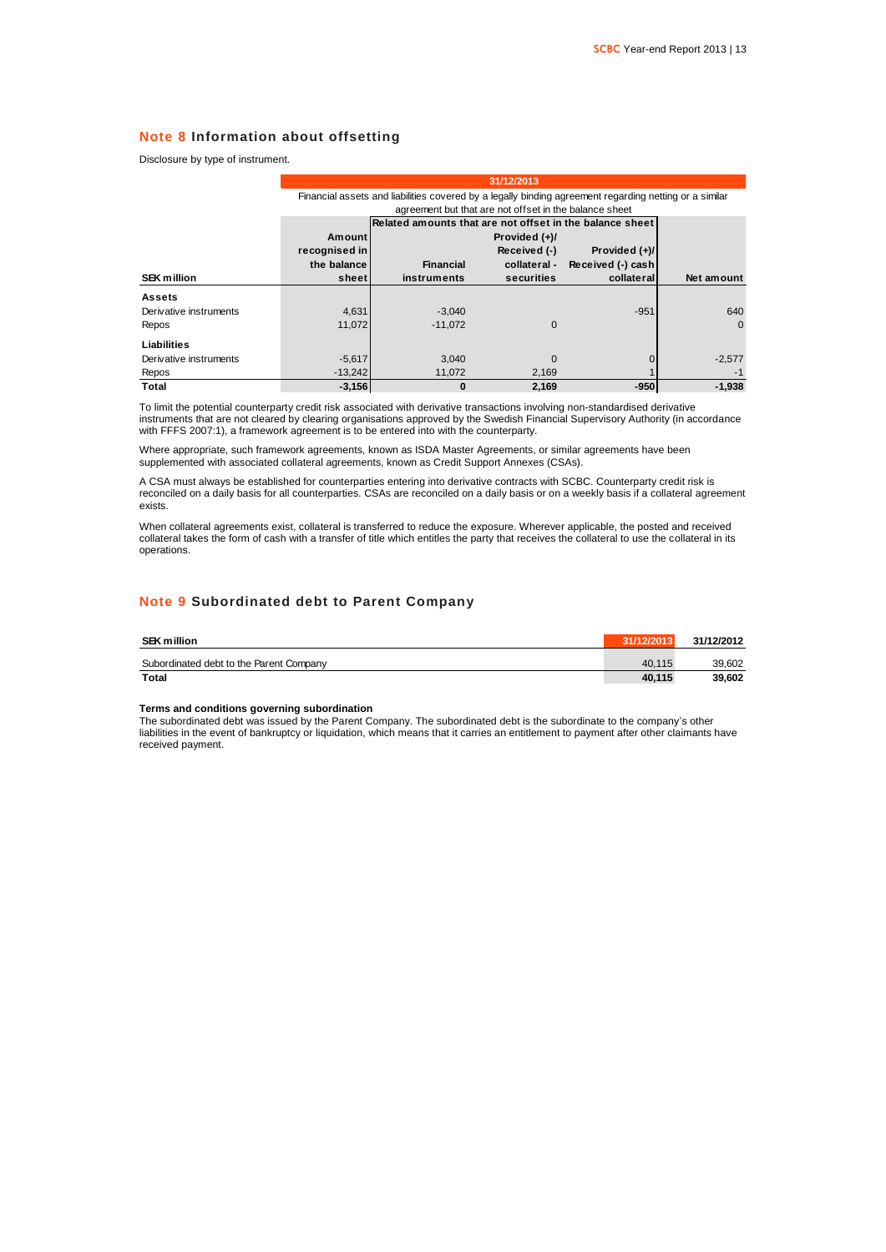### **Note 8 Information about offsetting**

|  |  |  |  | Disclosure by type of instrument. |  |
|--|--|--|--|-----------------------------------|--|
|--|--|--|--|-----------------------------------|--|

|                        | 31/12/2013                                             |                                                                                                        |                 |                   |            |  |  |
|------------------------|--------------------------------------------------------|--------------------------------------------------------------------------------------------------------|-----------------|-------------------|------------|--|--|
|                        |                                                        | Financial assets and liabilities covered by a legally binding agreement regarding netting or a similar |                 |                   |            |  |  |
|                        | agreement but that are not offset in the balance sheet |                                                                                                        |                 |                   |            |  |  |
|                        |                                                        | Related amounts that are not offset in the balance sheet                                               |                 |                   |            |  |  |
|                        | <b>Amount</b>                                          |                                                                                                        | Provided $(+)/$ |                   |            |  |  |
|                        | recognised in                                          |                                                                                                        | Received (-)    | Provided (+)/     |            |  |  |
|                        | the balance                                            | <b>Financial</b>                                                                                       | collateral -    | Received (-) cash |            |  |  |
| <b>SEK million</b>     | sheet                                                  | instruments                                                                                            | securities      | collateral        | Net amount |  |  |
| <b>Assets</b>          |                                                        |                                                                                                        |                 |                   |            |  |  |
| Derivative instruments | 4,631                                                  | $-3,040$                                                                                               |                 | $-951$            | 640        |  |  |
| Repos                  | 11.072                                                 | $-11.072$                                                                                              | $\Omega$        |                   | $\Omega$   |  |  |
| Liabilities            |                                                        |                                                                                                        |                 |                   |            |  |  |
| Derivative instruments | $-5,617$                                               | 3.040                                                                                                  | $\Omega$        |                   | $-2,577$   |  |  |
| Repos                  | $-13,242$                                              | 11,072                                                                                                 | 2,169           |                   | $-1$       |  |  |
| Total                  | $-3,156$                                               | 0                                                                                                      | 2,169           | $-950$            | $-1,938$   |  |  |

To limit the potential counterparty credit risk associated with derivative transactions involving non-standardised derivative instruments that are not cleared by clearing organisations approved by the Swedish Financial Supervisory Authority (in accordance with FFFS 2007:1), a framework agreement is to be entered into with the counterparty.

Where appropriate, such framework agreements, known as ISDA Master Agreements, or similar agreements have been supplemented with associated collateral agreements, known as Credit Support Annexes (CSAs).

A CSA must always be established for counterparties entering into derivative contracts with SCBC. Counterparty credit risk is reconciled on a daily basis for all counterparties. CSAs are reconciled on a daily basis or on a weekly basis if a collateral agreement exists.

When collateral agreements exist, collateral is transferred to reduce the exposure. Wherever applicable, the posted and received collateral takes the form of cash with a transfer of title which entitles the party that receives the collateral to use the collateral in its operations.

### **Note 9 Subordinated debt to Parent Company**

| <b>SEK million</b>                      | 31/12/2013 | 31/12/2012 |
|-----------------------------------------|------------|------------|
| Subordinated debt to the Parent Company | 40.115     | 39.602     |
| <b>Total</b>                            | 40.115     | 39.602     |

#### **Terms and conditions governing subordination**

The subordinated debt was issued by the Parent Company. The subordinated debt is the subordinate to the company's other liabilities in the event of bankruptcy or liquidation, which means that it carries an entitlement to payment after other claimants have received payment.